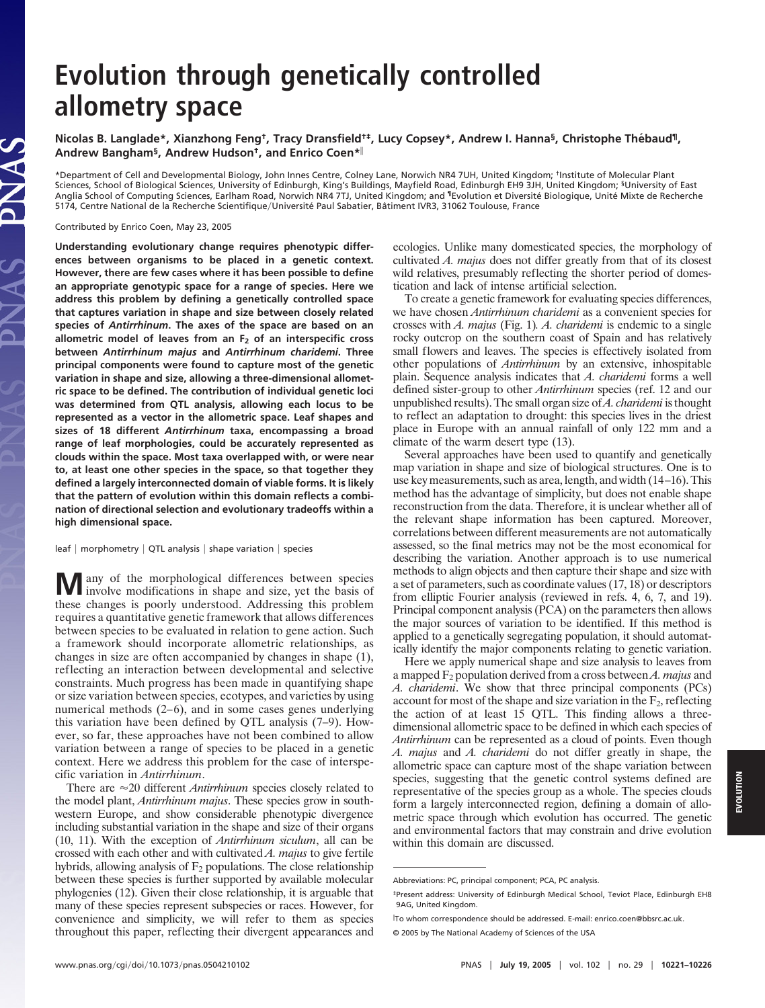# **Evolution through genetically controlled allometry space**

**Nicolas B. Langlade\*, Xianzhong Feng†, Tracy Dransfield†‡, Lucy Copsey\*, Andrew I. Hanna§, Christophe The´baud¶, Andrew Bangham§, Andrew Hudson†, and Enrico Coen\***

\*Department of Cell and Developmental Biology, John Innes Centre, Colney Lane, Norwich NR4 7UH, United Kingdom; †Institute of Molecular Plant Sciences, School of Biological Sciences, University of Edinburgh, King's Buildings, Mayfield Road, Edinburgh EH9 3JH, United Kingdom; §University of East Anglia School of Computing Sciences, Earlham Road, Norwich NR4 7TJ, United Kingdom; and ¶Evolution et Diversite´ Biologique, Unite´ Mixte de Recherche 5174, Centre National de la Recherche Scientifique/Université Paul Sabatier, Bâtiment IVR3, 31062 Toulouse, France

Contributed by Enrico Coen, May 23, 2005

**Understanding evolutionary change requires phenotypic differences between organisms to be placed in a genetic context. However, there are few cases where it has been possible to define an appropriate genotypic space for a range of species. Here we address this problem by defining a genetically controlled space that captures variation in shape and size between closely related species of** *Antirrhinum***. The axes of the space are based on an allometric model of leaves from an F2 of an interspecific cross between** *Antirrhinum majus* **and** *Antirrhinum charidemi***. Three principal components were found to capture most of the genetic variation in shape and size, allowing a three-dimensional allometric space to be defined. The contribution of individual genetic loci was determined from QTL analysis, allowing each locus to be represented as a vector in the allometric space. Leaf shapes and sizes of 18 different** *Antirrhinum* **taxa, encompassing a broad range of leaf morphologies, could be accurately represented as clouds within the space. Most taxa overlapped with, or were near to, at least one other species in the space, so that together they defined a largely interconnected domain of viable forms. It is likely that the pattern of evolution within this domain reflects a combination of directional selection and evolutionary tradeoffs within a high dimensional space.**

leaf  $|$  morphometry  $|$  QTL analysis  $|$  shape variation  $|$  species

**M** any of the morphological differences between species in shape and size, yet the basis of these changes is poorly understood. Addressing this problem requires a quantitative genetic framework that allows differences between species to be evaluated in relation to gene action. Such a framework should incorporate allometric relationships, as changes in size are often accompanied by changes in shape (1), reflecting an interaction between developmental and selective constraints. Much progress has been made in quantifying shape or size variation between species, ecotypes, and varieties by using numerical methods (2–6), and in some cases genes underlying this variation have been defined by QTL analysis (7–9). However, so far, these approaches have not been combined to allow variation between a range of species to be placed in a genetic context. Here we address this problem for the case of interspecific variation in *Antirrhinum*.

There are  $\approx$  20 different *Antirrhinum* species closely related to the model plant, *Antirrhinum majus*. These species grow in southwestern Europe, and show considerable phenotypic divergence including substantial variation in the shape and size of their organs (10, 11). With the exception of *Antirrhinum siculum*, all can be crossed with each other and with cultivated *A. majus* to give fertile hybrids, allowing analysis of  $F_2$  populations. The close relationship between these species is further supported by available molecular phylogenies (12). Given their close relationship, it is arguable that many of these species represent subspecies or races. However, for convenience and simplicity, we will refer to them as species throughout this paper, reflecting their divergent appearances and

ecologies. Unlike many domesticated species, the morphology of cultivated *A. majus* does not differ greatly from that of its closest wild relatives, presumably reflecting the shorter period of domestication and lack of intense artificial selection.

To create a genetic framework for evaluating species differences, we have chosen *Antirrhinum charidemi* as a convenient species for crosses with *A. majus* (Fig. 1)*. A. charidemi* is endemic to a single rocky outcrop on the southern coast of Spain and has relatively small flowers and leaves. The species is effectively isolated from other populations of *Antirrhinum* by an extensive, inhospitable plain. Sequence analysis indicates that *A. charidemi* forms a well defined sister-group to other *Antirrhinum* species (ref. 12 and our unpublished results). The small organ size of*A. charidemi* is thought to reflect an adaptation to drought: this species lives in the driest place in Europe with an annual rainfall of only 122 mm and a climate of the warm desert type (13).

Several approaches have been used to quantify and genetically map variation in shape and size of biological structures. One is to use key measurements, such as area, length, and width (14–16). This method has the advantage of simplicity, but does not enable shape reconstruction from the data. Therefore, it is unclear whether all of the relevant shape information has been captured. Moreover, correlations between different measurements are not automatically assessed, so the final metrics may not be the most economical for describing the variation. Another approach is to use numerical methods to align objects and then capture their shape and size with a set of parameters, such as coordinate values (17, 18) or descriptors from elliptic Fourier analysis (reviewed in refs. 4, 6, 7, and 19). Principal component analysis (PCA) on the parameters then allows the major sources of variation to be identified. If this method is applied to a genetically segregating population, it should automatically identify the major components relating to genetic variation.

Here we apply numerical shape and size analysis to leaves from a mapped F2 population derived from a cross between *A. majus* and *A. charidemi*. We show that three principal components (PCs) account for most of the shape and size variation in the  $F_2$ , reflecting the action of at least 15 QTL. This finding allows a threedimensional allometric space to be defined in which each species of *Antirrhinum* can be represented as a cloud of points. Even though *A. majus* and *A. charidemi* do not differ greatly in shape, the allometric space can capture most of the shape variation between species, suggesting that the genetic control systems defined are representative of the species group as a whole. The species clouds form a largely interconnected region, defining a domain of allometric space through which evolution has occurred. The genetic and environmental factors that may constrain and drive evolution within this domain are discussed.

Abbreviations: PC, principal component; PCA, PC analysis.

<sup>‡</sup>Present address: University of Edinburgh Medical School, Teviot Place, Edinburgh EH8 9AG, United Kingdom.

To whom correspondence should be addressed. E-mail: enrico.coen@bbsrc.ac.uk.

<sup>© 2005</sup> by The National Academy of Sciences of the USA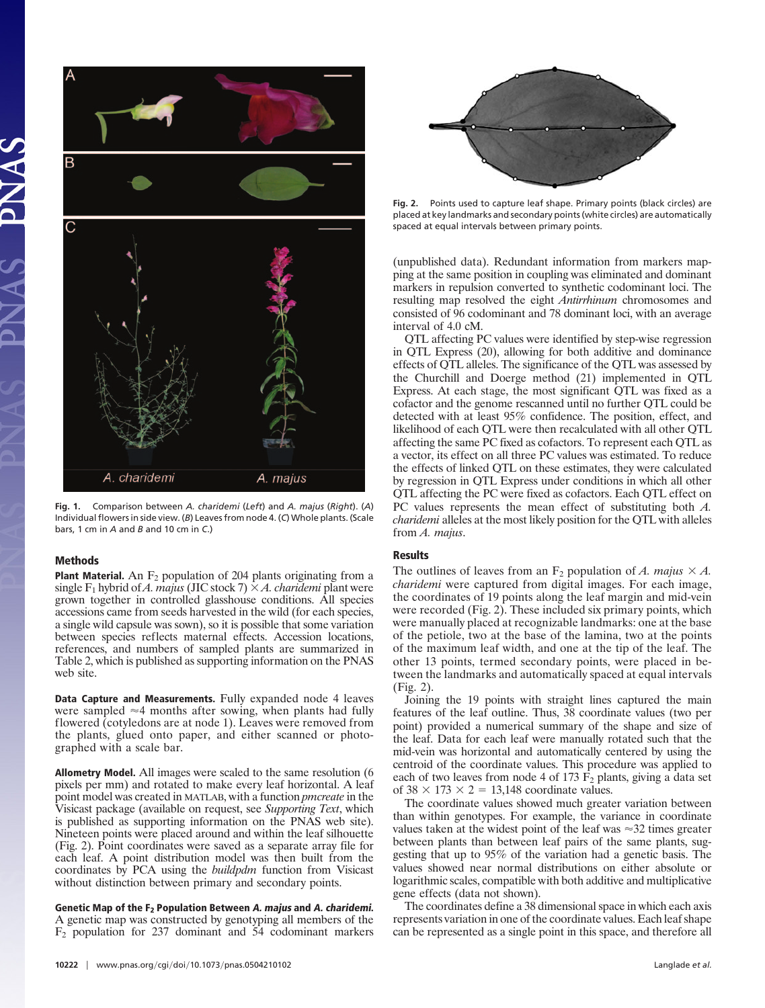

**Fig. 1.** Comparison between *A. charidemi* (*Left*) and *A. majus* (*Right*). (*A*) Individual flowers in side view. (*B*) Leaves from node 4. (*C*) Whole plants. (Scale bars, 1 cm in *A* and *B* and 10 cm in *C*.)

#### **Methods**

**Plant Material.** An F<sub>2</sub> population of 204 plants originating from a  $\text{single F}_1$  hybrid of *A. majus* (JIC stock 7)  $\times$  *A. charidemi* plant were grown together in controlled glasshouse conditions. All species accessions came from seeds harvested in the wild (for each species, a single wild capsule was sown), so it is possible that some variation between species reflects maternal effects. Accession locations, references, and numbers of sampled plants are summarized in Table 2, which is published as supporting information on the PNAS web site.

**Data Capture and Measurements.** Fully expanded node 4 leaves were sampled  $\approx$ 4 months after sowing, when plants had fully flowered (cotyledons are at node 1). Leaves were removed from the plants, glued onto paper, and either scanned or photographed with a scale bar.

**Allometry Model.** All images were scaled to the same resolution (6 pixels per mm) and rotated to make every leaf horizontal. A leaf point model was created in MATLAB, with a function *pmcreate* in the Visicast package (available on request, see *Supporting Text*, which is published as supporting information on the PNAS web site). Nineteen points were placed around and within the leaf silhouette (Fig. 2). Point coordinates were saved as a separate array file for each leaf. A point distribution model was then built from the coordinates by PCA using the *buildpdm* function from Visicast without distinction between primary and secondary points.

**Genetic Map of the F2 Population Between A. majus and A. charidemi.** A genetic map was constructed by genotyping all members of the F2 population for 237 dominant and 54 codominant markers



**Fig. 2.** Points used to capture leaf shape. Primary points (black circles) are placed at key landmarks and secondary points (white circles) are automatically spaced at equal intervals between primary points.

(unpublished data). Redundant information from markers mapping at the same position in coupling was eliminated and dominant markers in repulsion converted to synthetic codominant loci. The resulting map resolved the eight *Antirrhinum* chromosomes and consisted of 96 codominant and 78 dominant loci, with an average interval of 4.0 cM.

QTL affecting PC values were identified by step-wise regression in QTL Express (20), allowing for both additive and dominance effects of QTL alleles. The significance of the QTL was assessed by the Churchill and Doerge method (21) implemented in QTL Express. At each stage, the most significant QTL was fixed as a cofactor and the genome rescanned until no further QTL could be detected with at least 95% confidence. The position, effect, and likelihood of each QTL were then recalculated with all other QTL affecting the same PC fixed as cofactors. To represent each QTL as a vector, its effect on all three PC values was estimated. To reduce the effects of linked QTL on these estimates, they were calculated by regression in QTL Express under conditions in which all other QTL affecting the PC were fixed as cofactors. Each QTL effect on PC values represents the mean effect of substituting both *A. charidemi* alleles at the most likely position for the QTL with alleles from *A. majus*.

#### **Results**

The outlines of leaves from an  $F_2$  population of *A. majus*  $\times A$ . *charidemi* were captured from digital images. For each image, the coordinates of 19 points along the leaf margin and mid-vein were recorded (Fig. 2). These included six primary points, which were manually placed at recognizable landmarks: one at the base of the petiole, two at the base of the lamina, two at the points of the maximum leaf width, and one at the tip of the leaf. The other 13 points, termed secondary points, were placed in between the landmarks and automatically spaced at equal intervals (Fig. 2).

Joining the 19 points with straight lines captured the main features of the leaf outline. Thus, 38 coordinate values (two per point) provided a numerical summary of the shape and size of the leaf. Data for each leaf were manually rotated such that the mid-vein was horizontal and automatically centered by using the centroid of the coordinate values. This procedure was applied to each of two leaves from node 4 of 173  $F_2$  plants, giving a data set of  $38 \times 173 \times 2 = 13,148$  coordinate values.

The coordinate values showed much greater variation between than within genotypes. For example, the variance in coordinate values taken at the widest point of the leaf was  $\approx$ 32 times greater between plants than between leaf pairs of the same plants, suggesting that up to 95% of the variation had a genetic basis. The values showed near normal distributions on either absolute or logarithmic scales, compatible with both additive and multiplicative gene effects (data not shown).

The coordinates define a 38 dimensional space in which each axis represents variation in one of the coordinate values. Each leaf shape can be represented as a single point in this space, and therefore all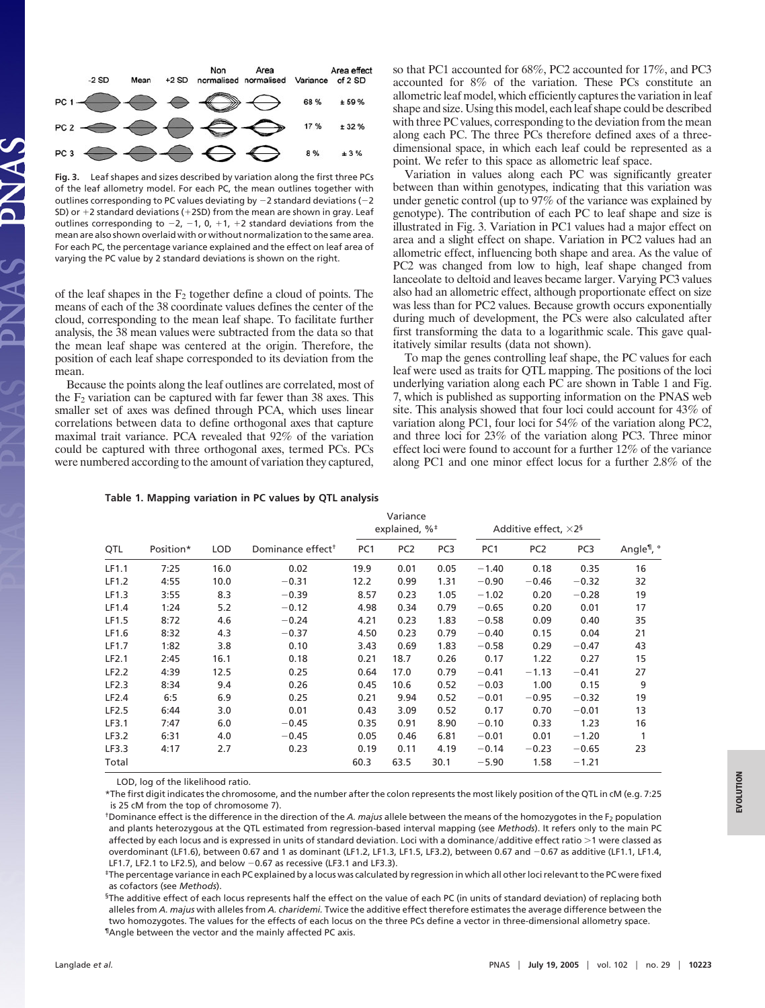

**Fig. 3.** Leaf shapes and sizes described by variation along the first three PCs of the leaf allometry model. For each PC, the mean outlines together with outlines corresponding to PC values deviating by  $-2$  standard deviations ( $-2$ SD) or  $+2$  standard deviations ( $+2$ SD) from the mean are shown in gray. Leaf outlines corresponding to  $-2$ ,  $-1$ , 0,  $+1$ ,  $+2$  standard deviations from the mean are also shown overlaid with or without normalization to the same area. For each PC, the percentage variance explained and the effect on leaf area of varying the PC value by 2 standard deviations is shown on the right.

of the leaf shapes in the  $F_2$  together define a cloud of points. The means of each of the 38 coordinate values defines the center of the cloud, corresponding to the mean leaf shape. To facilitate further analysis, the 38 mean values were subtracted from the data so that the mean leaf shape was centered at the origin. Therefore, the position of each leaf shape corresponded to its deviation from the mean.

Because the points along the leaf outlines are correlated, most of the  $F_2$  variation can be captured with far fewer than 38 axes. This smaller set of axes was defined through PCA, which uses linear correlations between data to define orthogonal axes that capture maximal trait variance. PCA revealed that 92% of the variation could be captured with three orthogonal axes, termed PCs. PCs were numbered according to the amount of variation they captured,

so that PC1 accounted for 68%, PC2 accounted for 17%, and PC3 accounted for 8% of the variation. These PCs constitute an allometric leaf model, which efficiently captures the variation in leaf shape and size. Using this model, each leaf shape could be described with three PC values, corresponding to the deviation from the mean along each PC. The three PCs therefore defined axes of a threedimensional space, in which each leaf could be represented as a point. We refer to this space as allometric leaf space.

Variation in values along each PC was significantly greater between than within genotypes, indicating that this variation was under genetic control (up to 97% of the variance was explained by genotype). The contribution of each PC to leaf shape and size is illustrated in Fig. 3. Variation in PC1 values had a major effect on area and a slight effect on shape. Variation in PC2 values had an allometric effect, influencing both shape and area. As the value of PC2 was changed from low to high, leaf shape changed from lanceolate to deltoid and leaves became larger. Varying PC3 values also had an allometric effect, although proportionate effect on size was less than for PC2 values. Because growth occurs exponentially during much of development, the PCs were also calculated after first transforming the data to a logarithmic scale. This gave qualitatively similar results (data not shown).

To map the genes controlling leaf shape, the PC values for each leaf were used as traits for QTL mapping. The positions of the loci underlying variation along each PC are shown in Table 1 and Fig. 7, which is published as supporting information on the PNAS web site. This analysis showed that four loci could account for 43% of variation along PC1, four loci for 54% of the variation along PC2, and three loci for 23% of the variation along PC3. Three minor effect loci were found to account for a further 12% of the variance along PC1 and one minor effect locus for a further 2.8% of the

## **Table 1. Mapping variation in PC values by QTL analysis**

| QTL   | Position* | <b>LOD</b> | Dominance effect <sup>+</sup> | Variance<br>explained, % <sup>#</sup> |                 |                 | Additive effect, $\times 2^5$ |                 |                 |                        |
|-------|-----------|------------|-------------------------------|---------------------------------------|-----------------|-----------------|-------------------------------|-----------------|-----------------|------------------------|
|       |           |            |                               | PC <sub>1</sub>                       | PC <sub>2</sub> | PC <sub>3</sub> | PC <sub>1</sub>               | PC <sub>2</sub> | PC <sub>3</sub> | Angle <sup>¶</sup> , ° |
| LF1.1 | 7:25      | 16.0       | 0.02                          | 19.9                                  | 0.01            | 0.05            | $-1.40$                       | 0.18            | 0.35            | 16                     |
| LF1.2 | 4:55      | 10.0       | $-0.31$                       | 12.2                                  | 0.99            | 1.31            | $-0.90$                       | $-0.46$         | $-0.32$         | 32                     |
| LF1.3 | 3:55      | 8.3        | $-0.39$                       | 8.57                                  | 0.23            | 1.05            | $-1.02$                       | 0.20            | $-0.28$         | 19                     |
| LF1.4 | 1:24      | 5.2        | $-0.12$                       | 4.98                                  | 0.34            | 0.79            | $-0.65$                       | 0.20            | 0.01            | 17                     |
| LF1.5 | 8:72      | 4.6        | $-0.24$                       | 4.21                                  | 0.23            | 1.83            | $-0.58$                       | 0.09            | 0.40            | 35                     |
| LF1.6 | 8:32      | 4.3        | $-0.37$                       | 4.50                                  | 0.23            | 0.79            | $-0.40$                       | 0.15            | 0.04            | 21                     |
| LF1.7 | 1:82      | 3.8        | 0.10                          | 3.43                                  | 0.69            | 1.83            | $-0.58$                       | 0.29            | $-0.47$         | 43                     |
| LF2.1 | 2:45      | 16.1       | 0.18                          | 0.21                                  | 18.7            | 0.26            | 0.17                          | 1.22            | 0.27            | 15                     |
| LF2.2 | 4:39      | 12.5       | 0.25                          | 0.64                                  | 17.0            | 0.79            | $-0.41$                       | $-1.13$         | $-0.41$         | 27                     |
| LF2.3 | 8:34      | 9.4        | 0.26                          | 0.45                                  | 10.6            | 0.52            | $-0.03$                       | 1.00            | 0.15            | 9                      |
| LF2.4 | 6:5       | 6.9        | 0.25                          | 0.21                                  | 9.94            | 0.52            | $-0.01$                       | $-0.95$         | $-0.32$         | 19                     |
| LF2.5 | 6:44      | 3.0        | 0.01                          | 0.43                                  | 3.09            | 0.52            | 0.17                          | 0.70            | $-0.01$         | 13                     |
| LF3.1 | 7:47      | 6.0        | $-0.45$                       | 0.35                                  | 0.91            | 8.90            | $-0.10$                       | 0.33            | 1.23            | 16                     |
| LF3.2 | 6:31      | 4.0        | $-0.45$                       | 0.05                                  | 0.46            | 6.81            | $-0.01$                       | 0.01            | $-1.20$         | 1                      |
| LF3.3 | 4:17      | 2.7        | 0.23                          | 0.19                                  | 0.11            | 4.19            | $-0.14$                       | $-0.23$         | $-0.65$         | 23                     |
| Total |           |            |                               | 60.3                                  | 63.5            | 30.1            | $-5.90$                       | 1.58            | $-1.21$         |                        |

LOD, log of the likelihood ratio.

\*The first digit indicates the chromosome, and the number after the colon represents the most likely position of the QTL in cM (e.g. 7:25 is 25 cM from the top of chromosome 7).

<sup>†</sup>Dominance effect is the difference in the direction of the *A. majus* allele between the means of the homozygotes in the F<sub>2</sub> population and plants heterozygous at the QTL estimated from regression-based interval mapping (see *Methods*). It refers only to the main PC affected by each locus and is expressed in units of standard deviation. Loci with a dominance/additive effect ratio >1 were classed as overdominant (LF1.6), between 0.67 and 1 as dominant (LF1.2, LF1.3, LF1.5, LF3.2), between 0.67 and -0.67 as additive (LF1.1, LF1.4, LF1.7, LF2.1 to LF2.5), and below  $-0.67$  as recessive (LF3.1 and LF3.3).

‡The percentage variance in each PC explained by a locus was calculated by regression in which all other loci relevant to the PC were fixed as cofactors (see *Methods*).

§The additive effect of each locus represents half the effect on the value of each PC (in units of standard deviation) of replacing both alleles from *A. majus* with alleles from *A. charidemi.* Twice the additive effect therefore estimates the average difference between the two homozygotes. The values for the effects of each locus on the three PCs define a vector in three-dimensional allometry space. ¶Angle between the vector and the mainly affected PC axis.

**EVOLUTION**

EVOLUTION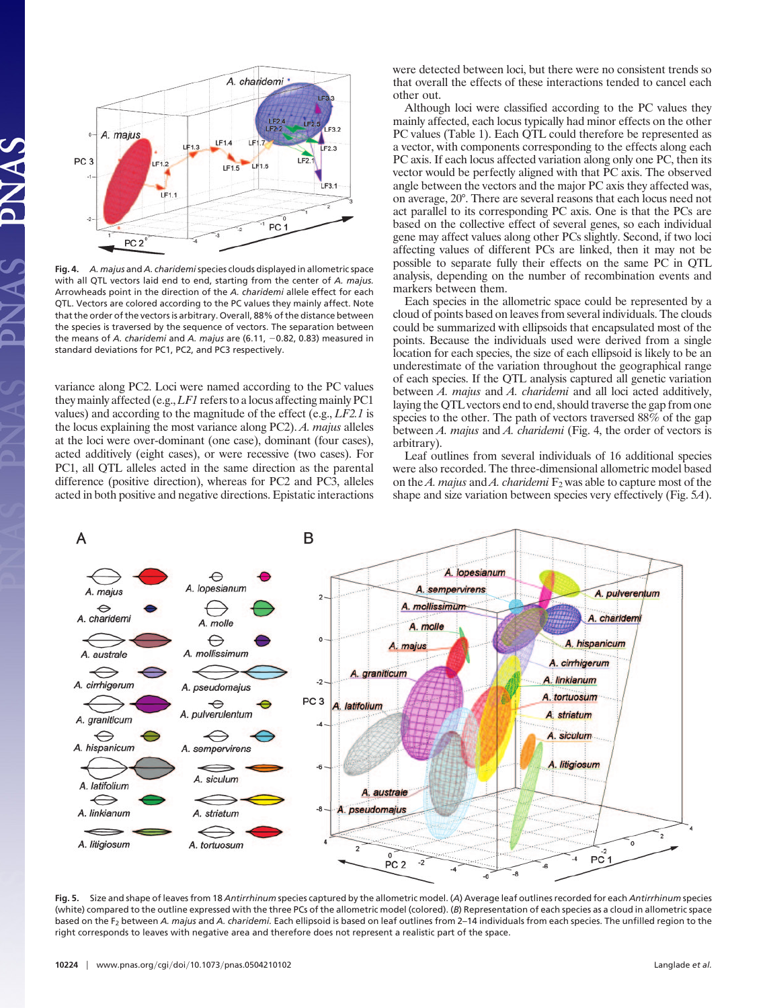

**Fig. 4.** *A. majus* and *A. charidemi*species clouds displayed in allometric space with all QTL vectors laid end to end, starting from the center of *A. majus.* Arrowheads point in the direction of the *A. charidemi* allele effect for each QTL. Vectors are colored according to the PC values they mainly affect. Note that the order of the vectors is arbitrary. Overall, 88% of the distance between the species is traversed by the sequence of vectors. The separation between the means of *A. charidemi* and *A. majus* are (6.11, -0.82, 0.83) measured in standard deviations for PC1, PC2, and PC3 respectively.

variance along PC2. Loci were named according to the PC values they mainly affected (e.g.,*LF1* refers to a locus affecting mainly PC1 values) and according to the magnitude of the effect (e.g., *LF2.1* is the locus explaining the most variance along PC2). *A. majus* alleles at the loci were over-dominant (one case), dominant (four cases), acted additively (eight cases), or were recessive (two cases). For PC1, all QTL alleles acted in the same direction as the parental difference (positive direction), whereas for PC2 and PC3, alleles acted in both positive and negative directions. Epistatic interactions were detected between loci, but there were no consistent trends so that overall the effects of these interactions tended to cancel each other out.

Although loci were classified according to the PC values they mainly affected, each locus typically had minor effects on the other PC values (Table 1). Each QTL could therefore be represented as a vector, with components corresponding to the effects along each PC axis. If each locus affected variation along only one PC, then its vector would be perfectly aligned with that PC axis. The observed angle between the vectors and the major PC axis they affected was, on average, 20°. There are several reasons that each locus need not act parallel to its corresponding PC axis. One is that the PCs are based on the collective effect of several genes, so each individual gene may affect values along other PCs slightly. Second, if two loci affecting values of different PCs are linked, then it may not be possible to separate fully their effects on the same PC in QTL analysis, depending on the number of recombination events and markers between them.

Each species in the allometric space could be represented by a cloud of points based on leaves from several individuals. The clouds could be summarized with ellipsoids that encapsulated most of the points. Because the individuals used were derived from a single location for each species, the size of each ellipsoid is likely to be an underestimate of the variation throughout the geographical range of each species. If the QTL analysis captured all genetic variation between *A. majus* and *A. charidemi* and all loci acted additively, laying the QTL vectors end to end, should traverse the gap from one species to the other. The path of vectors traversed 88% of the gap between *A. majus* and *A. charidemi* (Fig. 4, the order of vectors is arbitrary).

Leaf outlines from several individuals of 16 additional species were also recorded. The three-dimensional allometric model based on the *A. majus* and *A. charidemi*  $F_2$  was able to capture most of the shape and size variation between species very effectively (Fig. 5*A*).



**Fig. 5.** Size and shape of leaves from 18 *Antirrhinum* species captured by the allometric model. (*A*) Average leaf outlines recorded for each *Antirrhinum* species (white) compared to the outline expressed with the three PCs of the allometric model (colored). (*B*) Representation of each species as a cloud in allometric space based on the F<sub>2</sub> between *A. majus* and *A. charidemi.* Each ellipsoid is based on leaf outlines from 2–14 individuals from each species. The unfilled region to the right corresponds to leaves with negative area and therefore does not represent a realistic part of the space.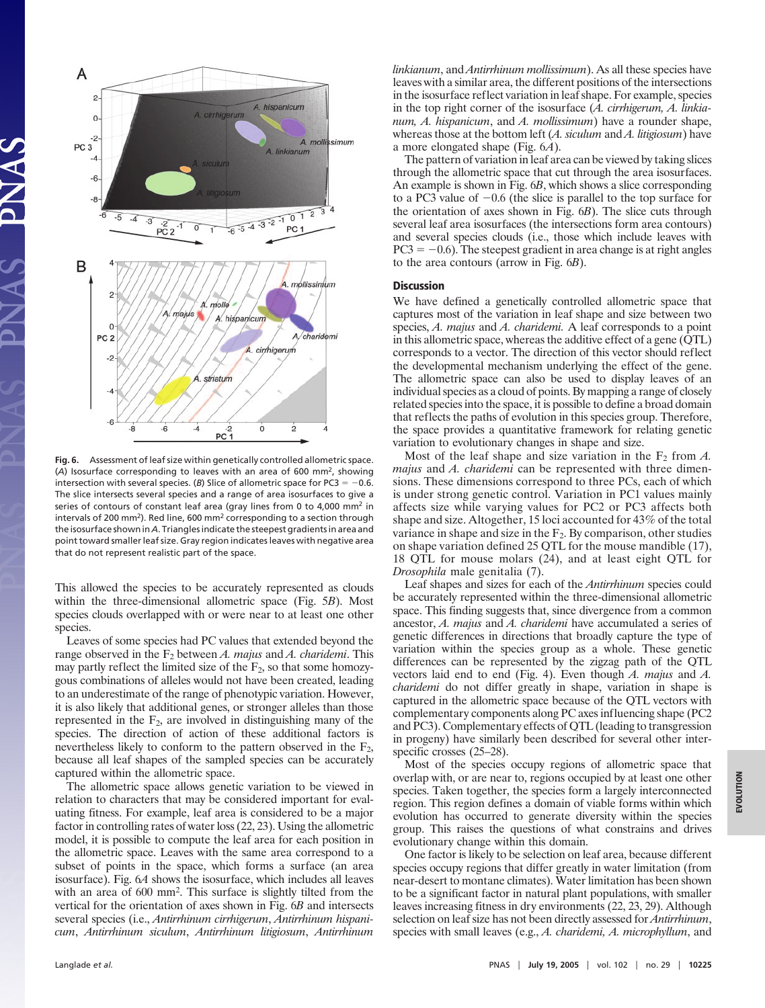

**Fig. 6.** Assessment of leaf size within genetically controlled allometric space. (*A*) Isosurface corresponding to leaves with an area of 600 mm2, showing intersection with several species. (*B*) Slice of allometric space for PC3 =  $-0.6$ . The slice intersects several species and a range of area isosurfaces to give a series of contours of constant leaf area (gray lines from 0 to 4,000 mm<sup>2</sup> in intervals of 200 mm<sup>2</sup>). Red line, 600 mm<sup>2</sup> corresponding to a section through the isosurface shown in *A*. Triangles indicate the steepest gradients in area and point toward smaller leaf size. Gray region indicates leaves with negative area that do not represent realistic part of the space.

This allowed the species to be accurately represented as clouds within the three-dimensional allometric space (Fig. 5*B*). Most species clouds overlapped with or were near to at least one other species.

Leaves of some species had PC values that extended beyond the range observed in the F2 between *A. majus* and *A. charidemi*. This may partly reflect the limited size of the  $F_2$ , so that some homozygous combinations of alleles would not have been created, leading to an underestimate of the range of phenotypic variation. However, it is also likely that additional genes, or stronger alleles than those represented in the  $F_2$ , are involved in distinguishing many of the species. The direction of action of these additional factors is nevertheless likely to conform to the pattern observed in the  $F_2$ , because all leaf shapes of the sampled species can be accurately captured within the allometric space.

The allometric space allows genetic variation to be viewed in relation to characters that may be considered important for evaluating fitness. For example, leaf area is considered to be a major factor in controlling rates of water loss (22, 23). Using the allometric model, it is possible to compute the leaf area for each position in the allometric space. Leaves with the same area correspond to a subset of points in the space, which forms a surface (an area isosurface). Fig. 6*A* shows the isosurface, which includes all leaves with an area of 600 mm<sup>2</sup>. This surface is slightly tilted from the vertical for the orientation of axes shown in Fig. 6*B* and intersects several species (i.e., *Antirrhinum cirrhigerum*, *Antirrhinum hispanicum*, *Antirrhinum siculum*, *Antirrhinum litigiosum*, *Antirrhinum* *linkianum*, and *Antirrhinum mollissimum*). As all these species have leaves with a similar area, the different positions of the intersections in the isosurface reflect variation in leaf shape. For example, species in the top right corner of the isosurface (*A. cirrhigerum, A. linkianum, A. hispanicum*, and *A. mollissimum*) have a rounder shape, whereas those at the bottom left (*A. siculum* and *A. litigiosum*) have a more elongated shape (Fig. 6*A*).

The pattern of variation in leaf area can be viewed by taking slices through the allometric space that cut through the area isosurfaces. An example is shown in Fig. 6*B*, which shows a slice corresponding to a PC3 value of  $-0.6$  (the slice is parallel to the top surface for the orientation of axes shown in Fig. 6*B*). The slice cuts through several leaf area isosurfaces (the intersections form area contours) and several species clouds (i.e., those which include leaves with  $PC3 = -0.6$ ). The steepest gradient in area change is at right angles to the area contours (arrow in Fig. 6*B*).

### **Discussion**

We have defined a genetically controlled allometric space that captures most of the variation in leaf shape and size between two species, *A. majus* and *A. charidemi.* A leaf corresponds to a point in this allometric space, whereas the additive effect of a gene (QTL) corresponds to a vector. The direction of this vector should reflect the developmental mechanism underlying the effect of the gene. The allometric space can also be used to display leaves of an individual species as a cloud of points. By mapping a range of closely related species into the space, it is possible to define a broad domain that reflects the paths of evolution in this species group. Therefore, the space provides a quantitative framework for relating genetic variation to evolutionary changes in shape and size.

Most of the leaf shape and size variation in the  $F_2$  from  $A$ . *majus* and *A. charidemi* can be represented with three dimensions. These dimensions correspond to three PCs, each of which is under strong genetic control. Variation in PC1 values mainly affects size while varying values for PC2 or PC3 affects both shape and size. Altogether, 15 loci accounted for 43% of the total variance in shape and size in the  $F_2$ . By comparison, other studies on shape variation defined 25 QTL for the mouse mandible (17), 18 QTL for mouse molars (24), and at least eight QTL for *Drosophila* male genitalia (7).

Leaf shapes and sizes for each of the *Antirrhinum* species could be accurately represented within the three-dimensional allometric space. This finding suggests that, since divergence from a common ancestor, *A. majus* and *A. charidemi* have accumulated a series of genetic differences in directions that broadly capture the type of variation within the species group as a whole. These genetic differences can be represented by the zigzag path of the QTL vectors laid end to end (Fig. 4). Even though *A. majus* and *A. charidemi* do not differ greatly in shape, variation in shape is captured in the allometric space because of the QTL vectors with complementary components along PC axes influencing shape (PC2 and PC3). Complementary effects of QTL (leading to transgression in progeny) have similarly been described for several other interspecific crosses  $(25-28)$ .

Most of the species occupy regions of allometric space that overlap with, or are near to, regions occupied by at least one other species. Taken together, the species form a largely interconnected region. This region defines a domain of viable forms within which evolution has occurred to generate diversity within the species group. This raises the questions of what constrains and drives evolutionary change within this domain.

One factor is likely to be selection on leaf area, because different species occupy regions that differ greatly in water limitation (from near-desert to montane climates). Water limitation has been shown to be a significant factor in natural plant populations, with smaller leaves increasing fitness in dry environments (22, 23, 29). Although selection on leaf size has not been directly assessed for *Antirrhinum*, species with small leaves (e.g., *A. charidemi, A. microphyllum*, and